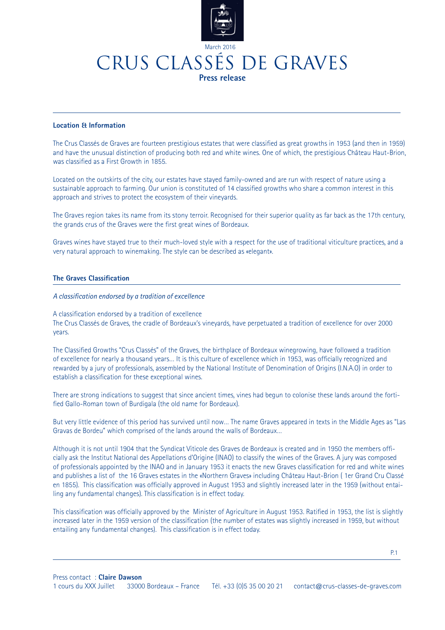

### CRUS CLASSéS DE GRAVES **Press release**

#### **Location & Information**

The Crus Classés de Graves are fourteen prestigious estates that were classified as great growths in 1953 (and then in 1959) and have the unusual distinction of producing both red and white wines. One of which, the prestigious Château Haut-Brion, was classified as a First Growth in 1855.

Located on the outskirts of the city, our estates have stayed family-owned and are run with respect of nature using a sustainable approach to farming. Our union is constituted of 14 classified growths who share a common interest in this approach and strives to protect the ecosystem of their vineyards.

The Graves region takes its name from its stony terroir. Recognised for their superior quality as far back as the 17th century, the grands crus of the Graves were the first great wines of Bordeaux.

Graves wines have stayed true to their much-loved style with a respect for the use of traditional viticulture practices, and a very natural approach to winemaking. The style can be described as «elegant».

#### **The Graves Classification**

#### *A classification endorsed by a tradition of excellence*

A classification endorsed by a tradition of excellence

The Crus Classés de Graves, the cradle of Bordeaux's vineyards, have perpetuated a tradition of excellence for over 2000 years.

The Classified Growths "Crus Classés" of the Graves, the birthplace of Bordeaux winegrowing, have followed a tradition of excellence for nearly a thousand years… It is this culture of excellence which in 1953, was officially recognized and rewarded by a jury of professionals, assembled by the National Institute of Denomination of Origins (I.N.A.O) in order to establish a classification for these exceptional wines.

There are strong indications to suggest that since ancient times, vines had begun to colonise these lands around the fortified Gallo-Roman town of Burdigala (the old name for Bordeaux).

But very little evidence of this period has survived until now… The name Graves appeared in texts in the Middle Ages as "Las Gravas de Bordeu" which comprised of the lands around the walls of Bordeaux…

Although it is not until 1904 that the Syndicat Viticole des Graves de Bordeaux is created and in 1950 the members officially ask the Institut National des Appellations d'Origine (INAO) to classify the wines of the Graves. A jury was composed of professionals appointed by the INAO and in January 1953 it enacts the new Graves classification for red and white wines and publishes a list of the 16 Graves estates in the «Northern Graves» including Château Haut-Brion ( 1er Grand Cru Classé en 1855). This classification was officially approved in August 1953 and slightly increased later in the 1959 (without entailing any fundamental changes). This classification is in effect today.

This classification was officially approved by the Minister of Agriculture in August 1953. Ratified in 1953, the list is slightly increased later in the 1959 version of the classification (the number of estates was slightly increased in 1959, but without entailing any fundamental changes). This classification is in effect today.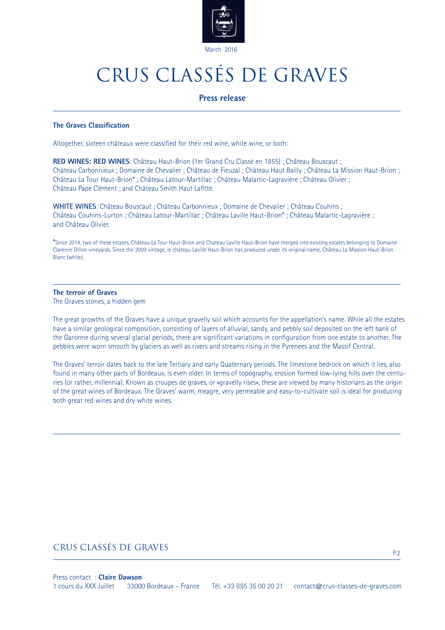

#### **Press release**

#### **The Graves Classification**

Altogether, sixteen châteaux were classified for their red wine, white wine, or both:

**RED WINES: RED WINES**: Château Haut-Brion (1er Grand Cru Classé en 1855) ; Château Bouscaut ; Château Carbonnieux ; Domaine de Chevalier ; Château de Fieuzal ; Château Haut Bailly ; Château La Mission Haut-Brion ; Château La Tour Haut-Brion\* ; Château Latour-Martillac ; Château Malartic-Lagravière ; Château Olivier ; Château Pape Clément ; and Château Smith Haut Lafitte.

**WHITE WINES**: Château Bouscaut ; Château Carbonnieux ; Domaine de Chevalier ; Château Couhins ; Château Couhins-Lurton ; Château Latour-Martillac ; Château Laville Haut-Brion\* ; Château Malartic-Lagravière ; and Château Olivier.

\*Since 2014, two of these estates, Château La Tour Haut-Brion and Chateau Laville Haut-Brion have merged into existing estates belonging to Domaine Clarence Dillon vineyards. Since the 2009 vintage, le château Laville Haut-Brion has produced under its original name, Château La Mission Haut-Brion Blanc (white).

#### **The terroir of Graves**

The Graves stones, a hidden gem

The great growths of the Graves have a unique gravelly soil which accounts for the appellation's name. While all the estates have a similar geological composition, consisting of layers of alluvial, sandy, and pebbly soil deposited on the left bank of the Garonne during several glacial periods, there are significant variations in configuration from one estate to another. The pebbles were worn smooth by glaciers as well as rivers and streams rising in the Pyrenees and the Massif Central.

The Graves' terroir dates back to the late Tertiary and early Quaternary periods. The limestone bedrock on which it lies, also found in many other parts of Bordeaux, is even older. In terms of topography, erosion formed low-lying hills over the centuries (or rather, millennia). Known as croupes de graves, or «gravelly rises», these are viewed by many historians as the origin of the great wines of Bordeaux. The Graves' warm, meagre, very permeable and easy-to-cultivate soil is ideal for producing both great red wines and dry white wines.

#### CRUS CLASSéS DE GRAVES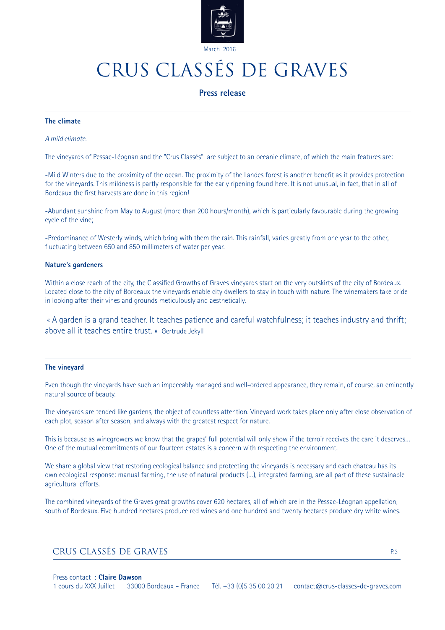

#### **Press release**

#### **The climate**

#### *A mild climate.*

The vineyards of Pessac-Léognan and the "Crus Classés" are subject to an oceanic climate, of which the main features are:

-Mild Winters due to the proximity of the ocean. The proximity of the Landes forest is another benefit as it provides protection for the vineyards. This mildness is partly responsible for the early ripening found here. It is not unusual, in fact, that in all of Bordeaux the first harvests are done in this region!

-Abundant sunshine from May to August (more than 200 hours/month), which is particularly favourable during the growing cycle of the vine;

-Predominance of Westerly winds, which bring with them the rain. This rainfall, varies greatly from one year to the other, fluctuating between 650 and 850 millimeters of water per year.

#### **Nature's gardeners**

Within a close reach of the city, the Classified Growths of Graves vineyards start on the very outskirts of the city of Bordeaux. Located close to the city of Bordeaux the vineyards enable city dwellers to stay in touch with nature. The winemakers take pride in looking after their vines and grounds meticulously and aesthetically.

 « A garden is a grand teacher. It teaches patience and careful watchfulness; it teaches industry and thrift; above all it teaches entire trust. » Gertrude Jekyll

#### **The vineyard**

Even though the vineyards have such an impeccably managed and well-ordered appearance, they remain, of course, an eminently natural source of beauty.

The vineyards are tended like gardens, the object of countless attention. Vineyard work takes place only after close observation of each plot, season after season, and always with the greatest respect for nature.

This is because as winegrowers we know that the grapes' full potential will only show if the terroir receives the care it deserves… One of the mutual commitments of our fourteen estates is a concern with respecting the environment.

We share a global view that restoring ecological balance and protecting the vineyards is necessary and each chateau has its own ecological response: manual farming, the use of natural products (…), integrated farming, are all part of these sustainable agricultural efforts.

The combined vineyards of the Graves great growths cover 620 hectares, all of which are in the Pessac-Léognan appellation, south of Bordeaux. Five hundred hectares produce red wines and one hundred and twenty hectares produce dry white wines.

#### CRUS CLASSÉS DE GRAVES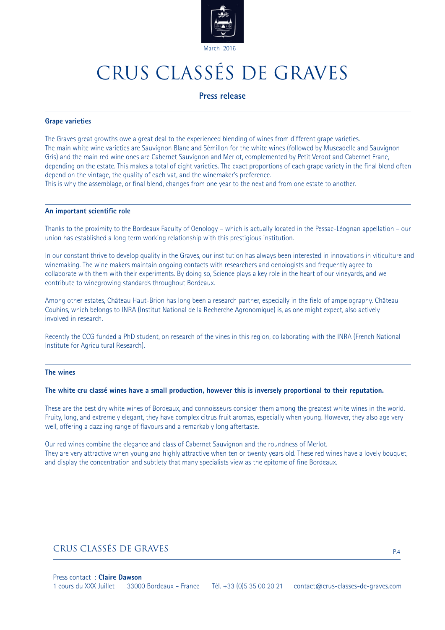

#### **Press release**

#### **Grape varieties**

The Graves great growths owe a great deal to the experienced blending of wines from different grape varieties. The main white wine varieties are Sauvignon Blanc and Sémillon for the white wines (followed by Muscadelle and Sauvignon Gris) and the main red wine ones are Cabernet Sauvignon and Merlot, complemented by Petit Verdot and Cabernet Franc, depending on the estate. This makes a total of eight varieties. The exact proportions of each grape variety in the final blend often depend on the vintage, the quality of each vat, and the winemaker's preference. This is why the assemblage, or final blend, changes from one year to the next and from one estate to another.

#### **An important scientific role**

Thanks to the proximity to the Bordeaux Faculty of Oenology – which is actually located in the Pessac-Léognan appellation – our union has established a long term working relationship with this prestigious institution.

In our constant thrive to develop quality in the Graves, our institution has always been interested in innovations in viticulture and winemaking. The wine makers maintain ongoing contacts with researchers and oenologists and frequently agree to collaborate with them with their experiments. By doing so, Science plays a key role in the heart of our vineyards, and we contribute to winegrowing standards throughout Bordeaux.

Among other estates, Château Haut-Brion has long been a research partner, especially in the field of ampelography. Château Couhins, which belongs to INRA (Institut National de la Recherche Agronomique) is, as one might expect, also actively involved in research.

Recently the CCG funded a PhD student, on research of the vines in this region, collaborating with the INRA (French National Institute for Agricultural Research).

#### **The wines**

#### **The white cru classé wines have a small production, however this is inversely proportional to their reputation.**

These are the best dry white wines of Bordeaux, and connoisseurs consider them among the greatest white wines in the world. Fruity, long, and extremely elegant, they have complex citrus fruit aromas, especially when young. However, they also age very well, offering a dazzling range of flavours and a remarkably long aftertaste.

Our red wines combine the elegance and class of Cabernet Sauvignon and the roundness of Merlot. They are very attractive when young and highly attractive when ten or twenty years old. These red wines have a lovely bouquet, and display the concentration and subtlety that many specialists view as the epitome of fine Bordeaux.

### CRUS CLASSÉS DE GRAVES